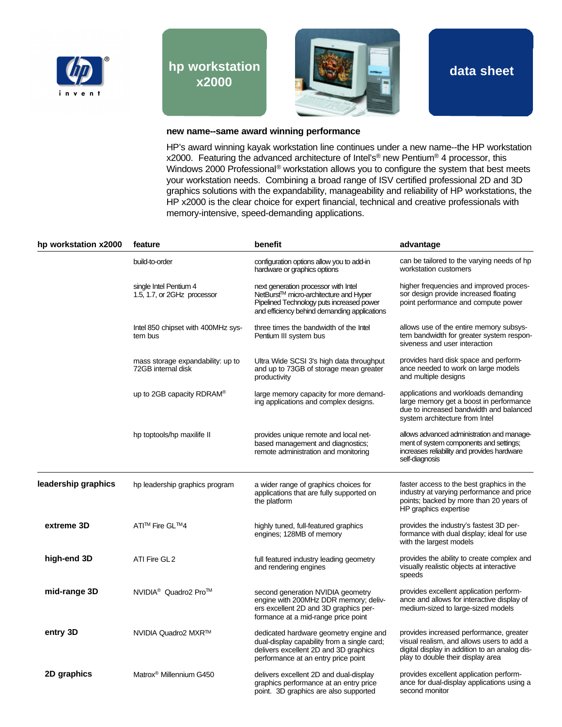

## **hp workstation x2000**



**data sheet**

## **new name--same award winning performance**

HP's award winning kayak workstation line continues under a new name--the HP workstation x2000. Featuring the advanced architecture of Intel's<sup>®</sup> new Pentium<sup>®</sup> 4 processor, this Windows 2000 Professional<sup>®</sup> workstation allows you to configure the system that best meets your workstation needs. Combining a broad range of ISV certified professional 2D and 3D graphics solutions with the expandability, manageability and reliability of HP workstations, the HP x2000 is the clear choice for expert financial, technical and creative professionals with memory-intensive, speed-demanding applications.

| hp workstation x2000 | feature                                                 | benefit                                                                                                                                                                                 | advantage                                                                                                                                                                  |
|----------------------|---------------------------------------------------------|-----------------------------------------------------------------------------------------------------------------------------------------------------------------------------------------|----------------------------------------------------------------------------------------------------------------------------------------------------------------------------|
|                      | build-to-order                                          | configuration options allow you to add-in<br>hardware or graphics options                                                                                                               | can be tailored to the varying needs of hp<br>workstation customers                                                                                                        |
|                      | single Intel Pentium 4<br>1.5, 1.7, or 2GHz processor   | next generation processor with Intel<br>NetBurst <sup>™</sup> micro-architecture and Hyper<br>Pipelined Technology puts increased power<br>and efficiency behind demanding applications | higher frequencies and improved proces-<br>sor design provide increased floating<br>point performance and compute power                                                    |
|                      | Intel 850 chipset with 400MHz sys-<br>tem bus           | three times the bandwidth of the Intel<br>Pentium III system bus                                                                                                                        | allows use of the entire memory subsys-<br>tem bandwidth for greater system respon-<br>siveness and user interaction                                                       |
|                      | mass storage expandability: up to<br>72GB internal disk | Ultra Wide SCSI 3's high data throughput<br>and up to 73GB of storage mean greater<br>productivity                                                                                      | provides hard disk space and perform-<br>ance needed to work on large models<br>and multiple designs                                                                       |
|                      | up to 2GB capacity RDRAM <sup>®</sup>                   | large memory capacity for more demand-<br>ing applications and complex designs.                                                                                                         | applications and workloads demanding<br>large memory get a boost in performance<br>due to increased bandwidth and balanced<br>system architecture from Intel               |
|                      | hp toptools/hp maxilife II                              | provides unique remote and local net-<br>based management and diagnostics;<br>remote administration and monitoring                                                                      | allows advanced administration and manage-<br>ment of system components and settings;<br>increases reliability and provides hardware<br>self-diagnosis                     |
| leadership graphics  | hp leadership graphics program                          | a wider range of graphics choices for<br>applications that are fully supported on<br>the platform                                                                                       | faster access to the best graphics in the<br>industry at varying performance and price<br>points; backed by more than 20 years of<br>HP graphics expertise                 |
| extreme 3D           | ATI <sup>™</sup> Fire GL <sup>™4</sup>                  | highly tuned, full-featured graphics<br>engines; 128MB of memory                                                                                                                        | provides the industry's fastest 3D per-<br>formance with dual display; ideal for use<br>with the largest models                                                            |
| high-end 3D          | ATI Fire GL2                                            | full featured industry leading geometry<br>and rendering engines                                                                                                                        | provides the ability to create complex and<br>visually realistic objects at interactive<br>speeds                                                                          |
| mid-range 3D         | NVIDIA <sup>®</sup> Quadro2 Pro <sup>™</sup>            | second generation NVIDIA geometry<br>engine with 200MHz DDR memory; deliv-<br>ers excellent 2D and 3D graphics per-<br>formance at a mid-range price point                              | provides excellent application perform-<br>ance and allows for interactive display of<br>medium-sized to large-sized models                                                |
| entry 3D             | NVIDIA Quadro2 MXR™                                     | dedicated hardware geometry engine and<br>dual-display capability from a single card;<br>delivers excellent 2D and 3D graphics<br>performance at an entry price point                   | provides increased performance, greater<br>visual realism, and allows users to add a<br>digital display in addition to an analog dis-<br>play to double their display area |
| 2D graphics          | Matrox <sup>®</sup> Millennium G450                     | delivers excellent 2D and dual-display<br>graphics performance at an entry price<br>point. 3D graphics are also supported                                                               | provides excellent application perform-<br>ance for dual-display applications using a<br>second monitor                                                                    |